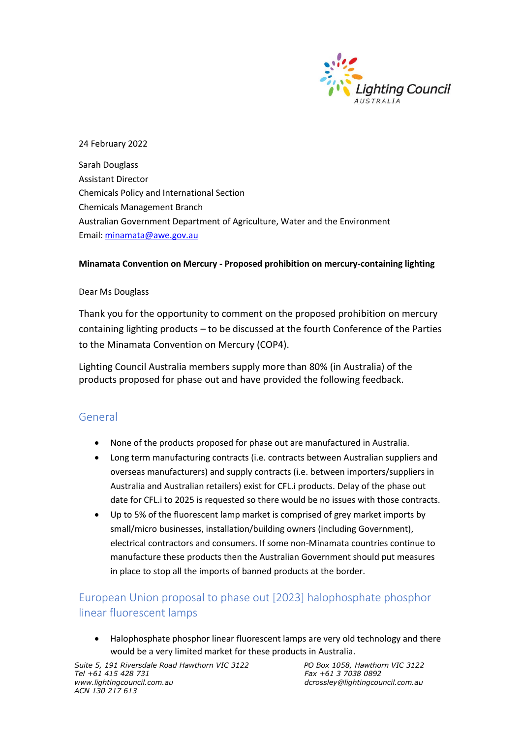

### 24 February 2022

Sarah Douglass Assistant Director Chemicals Policy and International Section Chemicals Management Branch Australian Government Department of Agriculture, Water and the Environment Email: [minamata@awe.gov.au](mailto:minamata@awe.gov.au)

#### **Minamata Convention on Mercury - Proposed prohibition on mercury-containing lighting**

#### Dear Ms Douglass

Thank you for the opportunity to comment on the proposed prohibition on mercury containing lighting products – to be discussed at the fourth Conference of the Parties to the Minamata Convention on Mercury (COP4).

Lighting Council Australia members supply more than 80% (in Australia) of the products proposed for phase out and have provided the following feedback.

## General

- None of the products proposed for phase out are manufactured in Australia.
- Long term manufacturing contracts (i.e. contracts between Australian suppliers and overseas manufacturers) and supply contracts (i.e. between importers/suppliers in Australia and Australian retailers) exist for CFL.i products. Delay of the phase out date for CFL.i to 2025 is requested so there would be no issues with those contracts.
- Up to 5% of the fluorescent lamp market is comprised of grey market imports by small/micro businesses, installation/building owners (including Government), electrical contractors and consumers. If some non-Minamata countries continue to manufacture these products then the Australian Government should put measures in place to stop all the imports of banned products at the border.

## European Union proposal to phase out [2023] halophosphate phosphor linear fluorescent lamps

• Halophosphate phosphor linear fluorescent lamps are very old technology and there would be a very limited market for these products in Australia.

*Suite 5, 191 Riversdale Road Hawthorn VIC 3122 PO Box 1058, Hawthorn VIC 3122 Tel +61 415 428 731 Fax +61 3 7038 0892 ACN 130 217 613*

*www.lightingcouncil.com.au dcrossley@lightingcouncil.com.au*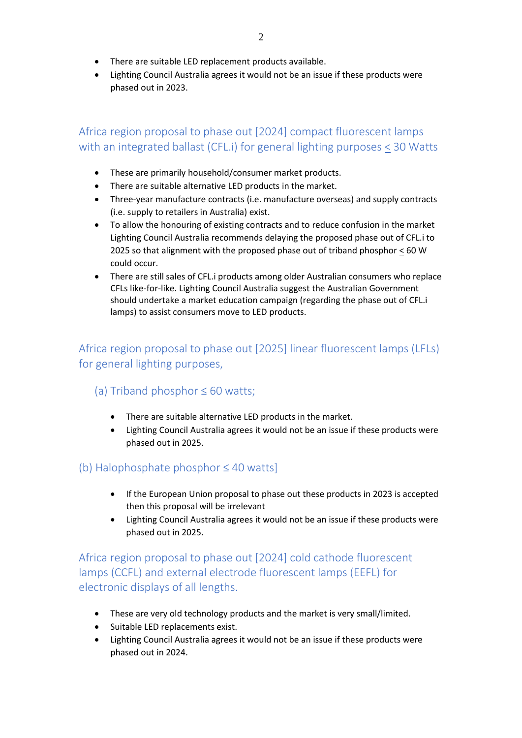- There are suitable LED replacement products available.
- Lighting Council Australia agrees it would not be an issue if these products were phased out in 2023.

# Africa region proposal to phase out [2024] compact fluorescent lamps with an integrated ballast (CFL.i) for general lighting purposes < 30 Watts

- These are primarily household/consumer market products.
- There are suitable alternative LED products in the market.
- Three-year manufacture contracts (i.e. manufacture overseas) and supply contracts (i.e. supply to retailers in Australia) exist.
- To allow the honouring of existing contracts and to reduce confusion in the market Lighting Council Australia recommends delaying the proposed phase out of CFL.i to 2025 so that alignment with the proposed phase out of triband phosphor  $\leq$  60 W could occur.
- There are still sales of CFL.i products among older Australian consumers who replace CFLs like-for-like. Lighting Council Australia suggest the Australian Government should undertake a market education campaign (regarding the phase out of CFL.i lamps) to assist consumers move to LED products.

## Africa region proposal to phase out [2025] linear fluorescent lamps (LFLs) for general lighting purposes,

- (a) Triband phosphor  $\leq 60$  watts;
	- There are suitable alternative LED products in the market.
	- Lighting Council Australia agrees it would not be an issue if these products were phased out in 2025.

## (b) Halophosphate phosphor ≤ 40 watts]

- If the European Union proposal to phase out these products in 2023 is accepted then this proposal will be irrelevant
- Lighting Council Australia agrees it would not be an issue if these products were phased out in 2025.

Africa region proposal to phase out [2024] cold cathode fluorescent lamps (CCFL) and external electrode fluorescent lamps (EEFL) for electronic displays of all lengths.

- These are very old technology products and the market is very small/limited.
- Suitable LED replacements exist.
- Lighting Council Australia agrees it would not be an issue if these products were phased out in 2024.